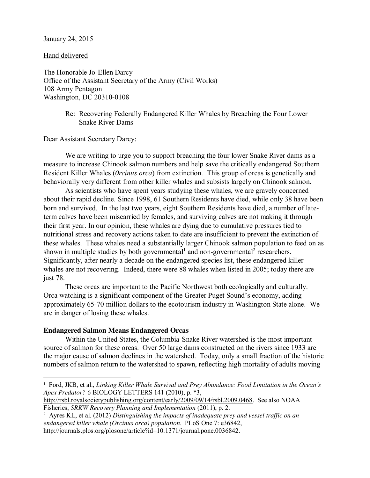## January 24, 2015

Hand delivered

The Honorable Jo-Ellen Darcy Office of the Assistant Secretary of the Army (Civil Works) 108 Army Pentagon Washington, DC 20310-0108

> Re: Recovering Federally Endangered Killer Whales by Breaching the Four Lower Snake River Dams

Dear Assistant Secretary Darcy:

We are writing to urge you to support breaching the four lower Snake River dams as a measure to increase Chinook salmon numbers and help save the critically endangered Southern Resident Killer Whales (*0rcinus orca*) from extinction. This group of orcas is genetically and behaviorally very different from other killer whales and subsists largely on Chinook salmon.

As scientists who have spent years studying these whales, we are gravely concerned about their rapid decline. Since 1998, 61 Southern Residents have died, while only 38 have been born and survived. In the last two years, eight Southern Residents have died, a number of lateterm calves have been miscarried by females, and surviving calves are not making it through their first year. In our opinion, these whales are dying due to cumulative pressures tied to nutritional stress and recovery actions taken to date are insufficient to prevent the extinction of these whales. These whales need a substantially larger Chinook salmon population to feed on as shown in multiple studies by both governmental<sup>1</sup> and non-governmental<sup>2</sup> researchers. Significantly, after nearly a decade on the endangered species list, these endangered killer whales are not recovering. Indeed, there were 88 whales when listed in 2005; today there are just 78.

These orcas are important to the Pacific Northwest both ecologically and culturally. Orca watching is a significant component of the Greater Puget Sound's economy, adding approximately 65-70 million dollars to the ecotourism industry in Washington State alone. We are in danger of losing these whales.

## **Endangered Salmon Means Endangered Orcas**

Within the United States, the Columbia-Snake River watershed is the most important source of salmon for these orcas. Over 50 large dams constructed on the rivers since 1933 are the major cause of salmon declines in the watershed. Today, only a small fraction of the historic numbers of salmon return to the watershed to spawn, reflecting high mortality of adults moving

[http://rsbl.royalsocietypublishing.org/content/early/2009/09/14/rsbl.2009.0468.](http://rsbl.royalsocietypublishing.org/content/early/2009/09/14/rsbl.2009.0468) See also NOAA Fisheries, *SRKW Recovery Planning and Implementation* (2011), p. 2.

 $\overline{a}$ <sup>1</sup> Ford, JKB, et al., *Linking Killer Whale Survival and Prey Abundance: Food Limitation in the Ocean's Apex Predator?* 6 BIOLOGY LETTERS 141 (2010), p. \*3,

<sup>2</sup> Ayres KL, et al. (2012) *Distinguishing the impacts of inadequate prey and vessel traffic on an endangered killer whale (Orcinus orca) population*. PLoS One 7: e36842, http://journals.plos.org/plosone/article?id=10.1371/journal.pone.0036842.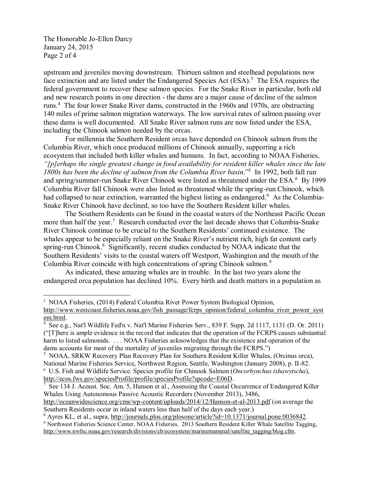The Honorable Jo-Ellen Darcy January 24, 2015 Page 2 of 4

 $\overline{a}$ 

upstream and juveniles moving downstream. Thirteen salmon and steelhead populations now face extinction and are listed under the Endangered Species Act  $(ESA).$ <sup>3</sup> The ESA requires the federal government to recover these salmon species. For the Snake River in particular, both old and new research points in one direction - the dams are a major cause of decline of the salmon runs.<sup>4</sup> The four lower Snake River dams, constructed in the 1960s and 1970s, are obstructing 140 miles of prime salmon migration waterways. The low survival rates of salmon passing over these dams is well documented. All Snake River salmon runs are now listed under the ESA, including the Chinook salmon needed by the orcas.

For millennia the Southern Resident orcas have depended on Chinook salmon from the Columbia River, which once produced millions of Chinook annually, supporting a rich ecosystem that included both killer whales and humans. In fact, according to NOAA Fisheries, *"[p]erhaps the single greatest change in food availability for resident killer whales since the late 1800s has been the decline of salmon from the Columbia River basin*."<sup>5</sup> In 1992, both fall run and spring/summer-run Snake River Chinook were listed as threatened under the ESA.<sup>6</sup> By 1999 Columbia River fall Chinook were also listed as threatened while the spring-run Chinook, which had collapsed to near extinction, warranted the highest listing as endangered.<sup>6</sup> As the Columbia-Snake River Chinook have declined, so too have the Southern Resident killer whales.

The Southern Residents can be found in the coastal waters of the Northeast Pacific Ocean more than half the year.<sup>7</sup> Research conducted over the last decade shows that Columbia-Snake River Chinook continue to be crucial to the Southern Residents' continued existence. The whales appear to be especially reliant on the Snake River's nutrient rich, high fat content early spring-run Chinook.<sup>8</sup> Significantly, recent studies conducted by NOAA indicate that the Southern Residents' visits to the coastal waters off Westport, Washington and the mouth of the Columbia River coincide with high concentrations of spring Chinook salmon.<sup>9</sup>

As indicated, these amazing whales are in trouble. In the last two years alone the endangered orca population has declined 10%. Every birth and death matters in a population as

<sup>&</sup>lt;sup>3</sup> NOAA Fisheries, (2014) Federal Columbia River Power System Biological Opinion,

[http://www.westcoast.fisheries.noaa.gov/fish\\_passage/fcrps\\_opinion/federal\\_columbia\\_river\\_power\\_syst](http://www.westcoast.fisheries.noaa.gov/fish_passage/fcrps_opinion/federal_columbia_river_power_system.html) [em.html.](http://www.westcoast.fisheries.noaa.gov/fish_passage/fcrps_opinion/federal_columbia_river_power_system.html)

<sup>4</sup> See e.g., Nat'l Wildlife Fed'n v. Nat'l Marine Fisheries Serv., 839 F. Supp. 2d 1117, 1131 (D. Or. 2011) ("[T]here is ample evidence in the record that indicates that the operation of the FCRPS causes substantial harm to listed salmonids. . . . NOAA Fisheries acknowledges that the existence and operation of the dams accounts for most of the mortality of juveniles migrating through the FCRPS.")

<sup>&</sup>lt;sup>5</sup> NOAA, SRKW Recovery Plan Recovery Plan for Southern Resident Killer Whales, (Orcinus orca), National Marine Fisheries Service, Northwest Region, Seattle, Washington (January 2008), p. II-82. 6 U.S. Fish and Wildlife Service. Species profile for Chinook Salmon (*Oncorhynchus tshawytscha*),

[http://ecos.fws.gov/speciesProfile/profile/speciesProfile?spcode=E06D.](http://ecos.fws.gov/speciesProfile/profile/speciesProfile?spcode=E06D)<br><sup>7</sup> See 134 J. Acoust. Soc. Am. 5, Hanson et al., Assessing the Coastal Occurrence of Endangered Killer Whales Using Autonomous Passive Acoustic Recorders (November 2013), 3486,

<http://oceanwidescience.org/cms/wp-content/uploads/2014/12/Hanson-et-al-2013.pdf> (on average the Southern Residents occur in inland waters less than half of the days each year.)

<sup>&</sup>lt;sup>8</sup> Ayres KL, et al., supra, [http://journals.plos.org/plosone/article?id=10.1371/journal.pone.0036842.](http://journals.plos.org/plosone/article?id=10.1371/journal.pone.0036842) <sup>9</sup> Northwest Fisheries Science Center, NOAA Fisheries. 2013 Southern Resident Killer Whale Satellite Tagging, [http://www.nwfsc.noaa.gov/research/divisions/cb/ecosystem/marinemammal/satellite\\_tagging/blog.cfm.](http://www.nwfsc.noaa.gov/research/divisions/cb/ecosystem/marinemammal/satellite_tagging/blog.cfm)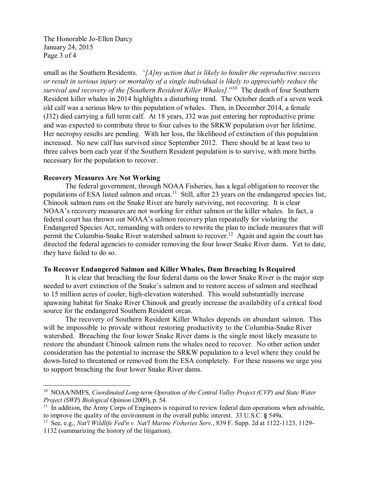The Honorable Jo-Ellen Darcy January 24, 2015 Page 3 of 4

small as the Southern Residents. *"[A]ny action that is likely to hinder the reproductive success or result in serious injury or mortality of a single individual is likely to appreciably reduce the survival and recovery of the [Southern Resident Killer Whales]*."10 The death of four Southern Resident killer whales in 2014 highlights a disturbing trend. The October death of a seven week old calf was a serious blow to this population of whales. Then, in December 2014, a female (J32) died carrying a full term calf. At 18 years, J32 was just entering her reproductive prime and was expected to contribute three to four calves to the SRKW population over her lifetime. Her necropsy results are pending. With her loss, the likelihood of extinction of this population increased. No new calf has survived since September 2012. There should be at least two to three calves born each year if the Southern Resident population is to survive, with more births necessary for the population to recover.

## **Recovery Measures Are Not Working**

The federal government, through NOAA Fisheries, has a legal obligation to recover the populations of ESA listed salmon and orcas.<sup>11</sup> Still, after 23 years on the endangered species list, Chinook salmon runs on the Snake River are barely surviving, not recovering. It is clear NOAA's recovery measures are not working for either salmon or the killer whales. In fact, a federal court has thrown out NOAA's salmon recovery plan repeatedly for violating the Endangered Species Act, remanding with orders to rewrite the plan to include measures that will permit the Columbia-Snake River watershed salmon to recover.<sup>12</sup> Again and again the court has directed the federal agencies to consider removing the four lower Snake River dams. Yet to date, they have failed to do so.

## **To Recover Endangered Salmon and Killer Whales, Dam Breaching Is Required**

It is clear that breaching the four federal dams on the lower Snake River is the major step needed to avert extinction of the Snake's salmon and to restore access of salmon and steelhead to 15 million acres of cooler, high-elevation watershed. This would substantially increase spawning habitat for Snake River Chinook and greatly increase the availability of a critical food source for the endangered Southern Resident orcas.

The recovery of Southern Resident Killer Whales depends on abundant salmon. This will be impossible to provide without restoring productivity to the Columbia-Snake River watershed. Breaching the four lower Snake River dams is the single most likely measure to restore the abundant Chinook salmon runs the whales need to recover. No other action under consideration has the potential to increase the SRKW population to a level where they could be down-listed to threatened or removed from the ESA completely. For these reasons we urge you to support breaching the four lower Snake River dams.

 $\overline{a}$ 

<sup>&</sup>lt;sup>10</sup> NOAA/NMFS, *Coordinated Long-term Operation of the Central Valley Project (CVP) and State Water Project (SWP) Biological Opinion* (2009), p. 54.

 $11$  In addition, the Army Corps of Engineers is required to review federal dam operations when advisable, to improve the quality of the environment in the overall public interest. 33 U.S.C. **§** 549a.

<sup>12</sup> See, e.g., *Nat'l Wildlife Fed'n v. Nat'l Marine Fisheries Serv*., 839 F. Supp. 2d at 1122-1123, 1129-

<sup>1132 (</sup>summarizing the history of the litigation).